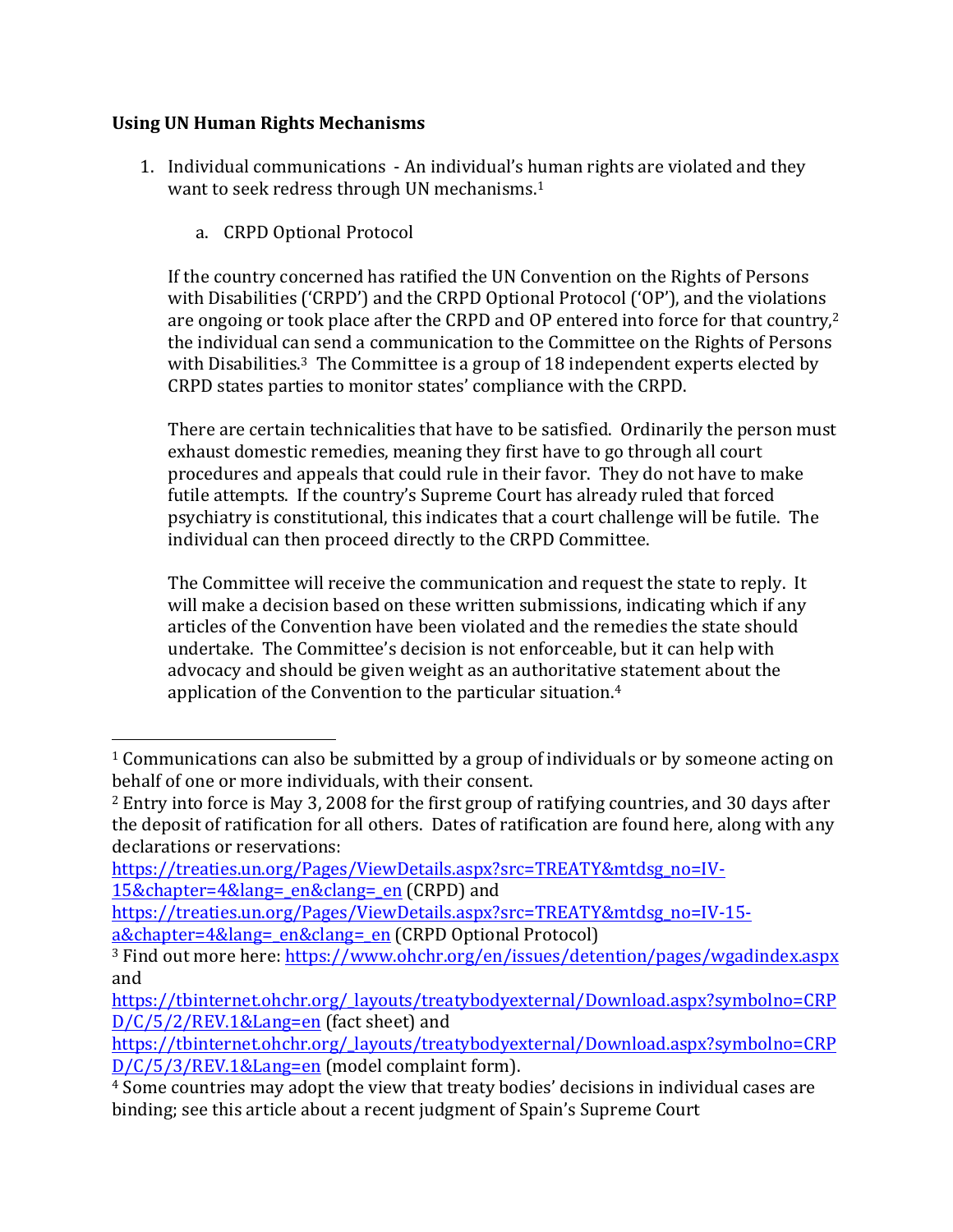## **Using UN Human Rights Mechanisms**

 

- 1. Individual communications An individual's human rights are violated and they want to seek redress through UN mechanisms. $1$ 
	- a. CRPD Optional Protocol

If the country concerned has ratified the UN Convention on the Rights of Persons with Disabilities ('CRPD') and the CRPD Optional Protocol ('OP'), and the violations are ongoing or took place after the CRPD and OP entered into force for that country, $2$ the individual can send a communication to the Committee on the Rights of Persons with Disabilities.<sup>3</sup> The Committee is a group of 18 independent experts elected by CRPD states parties to monitor states' compliance with the CRPD.

There are certain technicalities that have to be satisfied. Ordinarily the person must exhaust domestic remedies, meaning they first have to go through all court procedures and appeals that could rule in their favor. They do not have to make futile attempts. If the country's Supreme Court has already ruled that forced psychiatry is constitutional, this indicates that a court challenge will be futile. The individual can then proceed directly to the CRPD Committee.

The Committee will receive the communication and request the state to reply. It will make a decision based on these written submissions, indicating which if any articles of the Convention have been violated and the remedies the state should undertake. The Committee's decision is not enforceable, but it can help with advocacy and should be given weight as an authoritative statement about the application of the Convention to the particular situation. $4$ 

 $1$  Communications can also be submitted by a group of individuals or by someone acting on behalf of one or more individuals, with their consent.

 $^2$  Entry into force is May 3, 2008 for the first group of ratifying countries, and 30 days after the deposit of ratification for all others. Dates of ratification are found here, along with any declarations or reservations:

https://treaties.un.org/Pages/ViewDetails.aspx?src=TREATY&mtdsg\_no=IV-15&chapter=4&lang=\_en&clang=\_en (CRPD) and

https://treaties.un.org/Pages/ViewDetails.aspx?src=TREATY&mtdsg\_no=IV-15 a&chapter=4&lang=\_en&clang=\_en (CRPD Optional Protocol)

<sup>&</sup>lt;sup>3</sup> Find out more here: https://www.ohchr.org/en/issues/detention/pages/wgadindex.aspx and 

https://tbinternet.ohchr.org/\_layouts/treatybodyexternal/Download.aspx?symbolno=CRP  $D/C/5/2/REV.1⟪=en$  (fact sheet) and

https://tbinternet.ohchr.org/\_layouts/treatybodyexternal/Download.aspx?symbolno=CRP D/C/5/3/REV.1&Lang=en (model complaint form).

<sup>&</sup>lt;sup>4</sup> Some countries may adopt the view that treaty bodies' decisions in individual cases are binding; see this article about a recent judgment of Spain's Supreme Court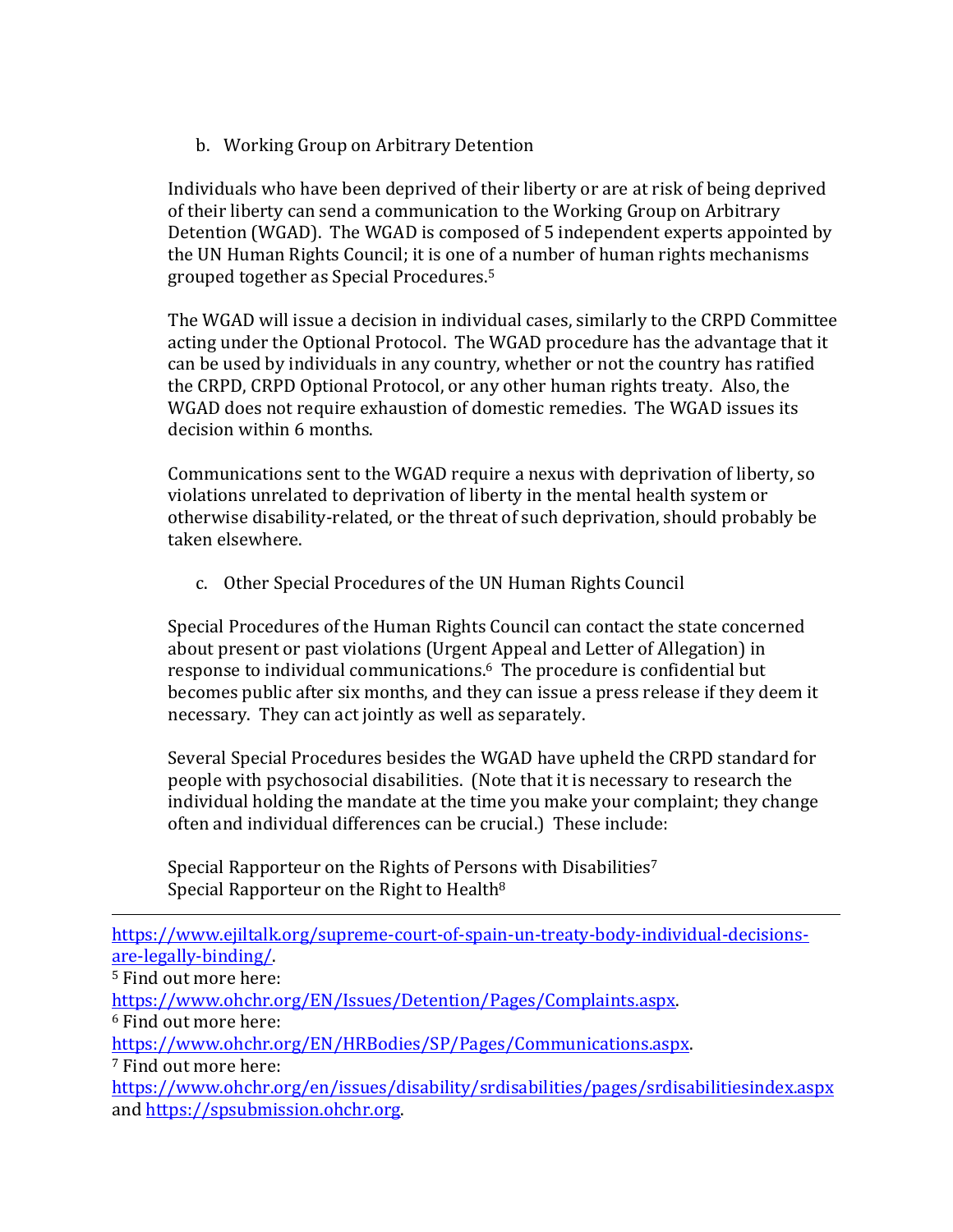b. Working Group on Arbitrary Detention

Individuals who have been deprived of their liberty or are at risk of being deprived of their liberty can send a communication to the Working Group on Arbitrary Detention (WGAD). The WGAD is composed of 5 independent experts appointed by the UN Human Rights Council; it is one of a number of human rights mechanisms grouped together as Special Procedures.<sup>5</sup>

The WGAD will issue a decision in individual cases, similarly to the CRPD Committee acting under the Optional Protocol. The WGAD procedure has the advantage that it can be used by individuals in any country, whether or not the country has ratified the CRPD, CRPD Optional Protocol, or any other human rights treaty. Also, the WGAD does not require exhaustion of domestic remedies. The WGAD issues its decision within 6 months.

Communications sent to the WGAD require a nexus with deprivation of liberty, so violations unrelated to deprivation of liberty in the mental health system or otherwise disability-related, or the threat of such deprivation, should probably be taken elsewhere.

c. Other Special Procedures of the UN Human Rights Council

Special Procedures of the Human Rights Council can contact the state concerned about present or past violations (Urgent Appeal and Letter of Allegation) in response to individual communications.<sup>6</sup> The procedure is confidential but becomes public after six months, and they can issue a press release if they deem it necessary. They can act jointly as well as separately.

Several Special Procedures besides the WGAD have upheld the CRPD standard for people with psychosocial disabilities. (Note that it is necessary to research the individual holding the mandate at the time you make your complaint; they change often and individual differences can be crucial.) These include:

Special Rapporteur on the Rights of Persons with Disabilities<sup>7</sup> Special Rapporteur on the Right to Health $8$ 

<u> 1989 - Andrea San Andrea San Andrea San Andrea San Andrea San Andrea San Andrea San Andrea San Andrea San An</u> https://www.ejiltalk.org/supreme-court-of-spain-un-treaty-body-individual-decisionsare-legally-binding/. <sup>5</sup> Find out more here: https://www.ohchr.org/EN/Issues/Detention/Pages/Complaints.aspx.  $6$  Find out more here: https://www.ohchr.org/EN/HRBodies/SP/Pages/Communications.aspx. <sup>7</sup> Find out more here: https://www.ohchr.org/en/issues/disability/srdisabilities/pages/srdisabilitiesindex.aspx and https://spsubmission.ohchr.org.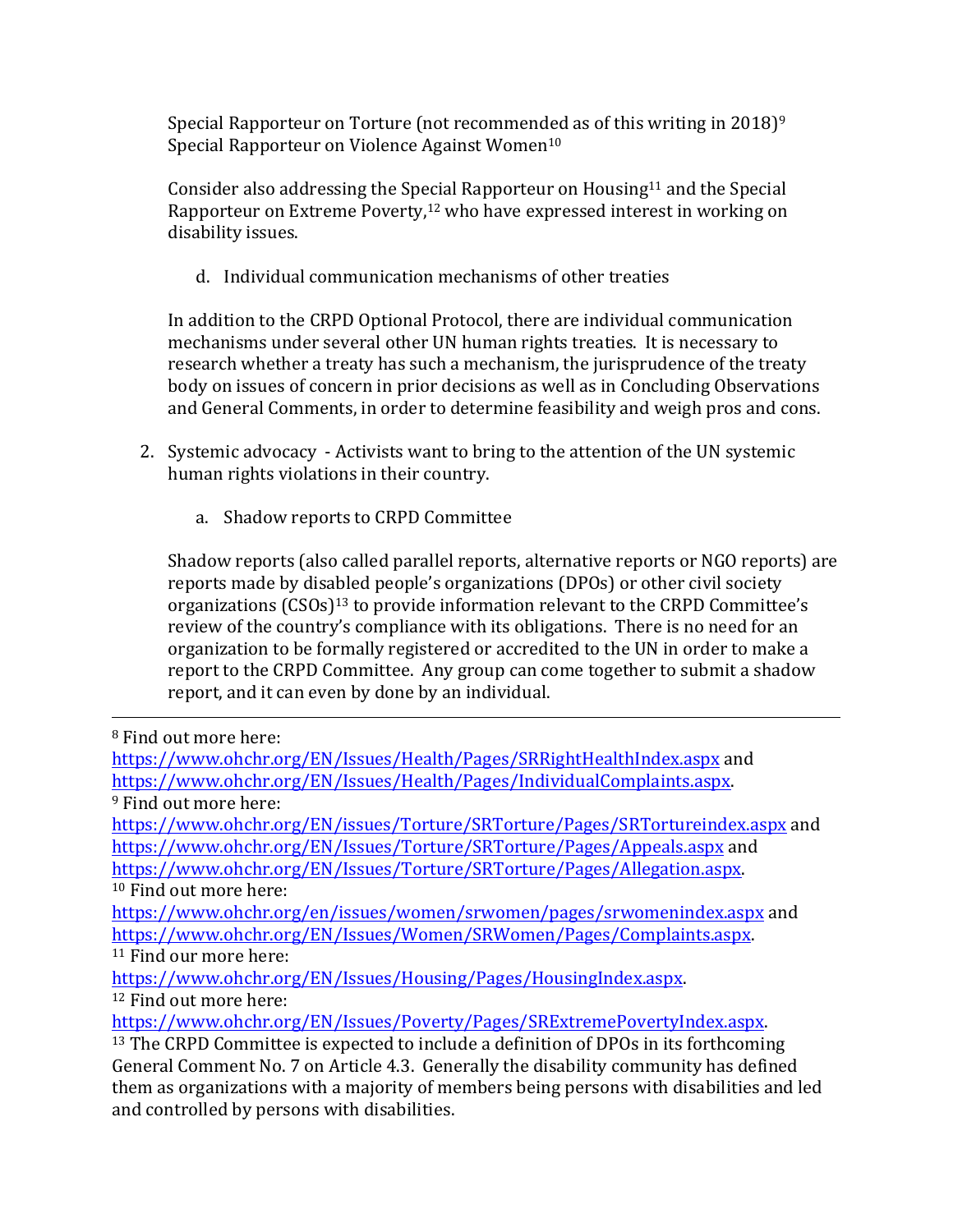Special Rapporteur on Torture (not recommended as of this writing in  $2018$ )<sup>9</sup> Special Rapporteur on Violence Against Women<sup>10</sup>

Consider also addressing the Special Rapporteur on Housing<sup>11</sup> and the Special Rapporteur on Extreme Poverty, $12$  who have expressed interest in working on disability issues.

d. Individual communication mechanisms of other treaties

In addition to the CRPD Optional Protocol, there are individual communication mechanisms under several other UN human rights treaties. It is necessary to research whether a treaty has such a mechanism, the jurisprudence of the treaty body on issues of concern in prior decisions as well as in Concluding Observations and General Comments, in order to determine feasibility and weigh pros and cons.

- 2. Systemic advocacy Activists want to bring to the attention of the UN systemic human rights violations in their country.
	- a. Shadow reports to CRPD Committee

Shadow reports (also called parallel reports, alternative reports or NGO reports) are reports made by disabled people's organizations (DPOs) or other civil society organizations  $(CSOS)^{13}$  to provide information relevant to the CRPD Committee's review of the country's compliance with its obligations. There is no need for an organization to be formally registered or accredited to the UN in order to make a report to the CRPD Committee. Any group can come together to submit a shadow report, and it can even by done by an individual.

<u> 1989 - Andrea San Andrea San Andrea San Andrea San Andrea San Andrea San Andrea San Andrea San Andrea San An</u>

and controlled by persons with disabilities.

<sup>&</sup>lt;sup>8</sup> Find out more here:

https://www.ohchr.org/EN/Issues/Health/Pages/SRRightHealthIndex.aspx and https://www.ohchr.org/EN/Issues/Health/Pages/IndividualComplaints.aspx. <sup>9</sup> Find out more here: https://www.ohchr.org/EN/issues/Torture/SRTorture/Pages/SRTortureindex.aspx and https://www.ohchr.org/EN/Issues/Torture/SRTorture/Pages/Appeals.aspx and https://www.ohchr.org/EN/Issues/Torture/SRTorture/Pages/Allegation.aspx. <sup>10</sup> Find out more here: https://www.ohchr.org/en/issues/women/srwomen/pages/srwomenindex.aspx and https://www.ohchr.org/EN/Issues/Women/SRWomen/Pages/Complaints.aspx. <sup>11</sup> Find our more here: https://www.ohchr.org/EN/Issues/Housing/Pages/HousingIndex.aspx.  $12$  Find out more here: https://www.ohchr.org/EN/Issues/Poverty/Pages/SRExtremePovertyIndex.aspx. <sup>13</sup> The CRPD Committee is expected to include a definition of DPOs in its forthcoming General Comment No. 7 on Article 4.3. Generally the disability community has defined them as organizations with a majority of members being persons with disabilities and led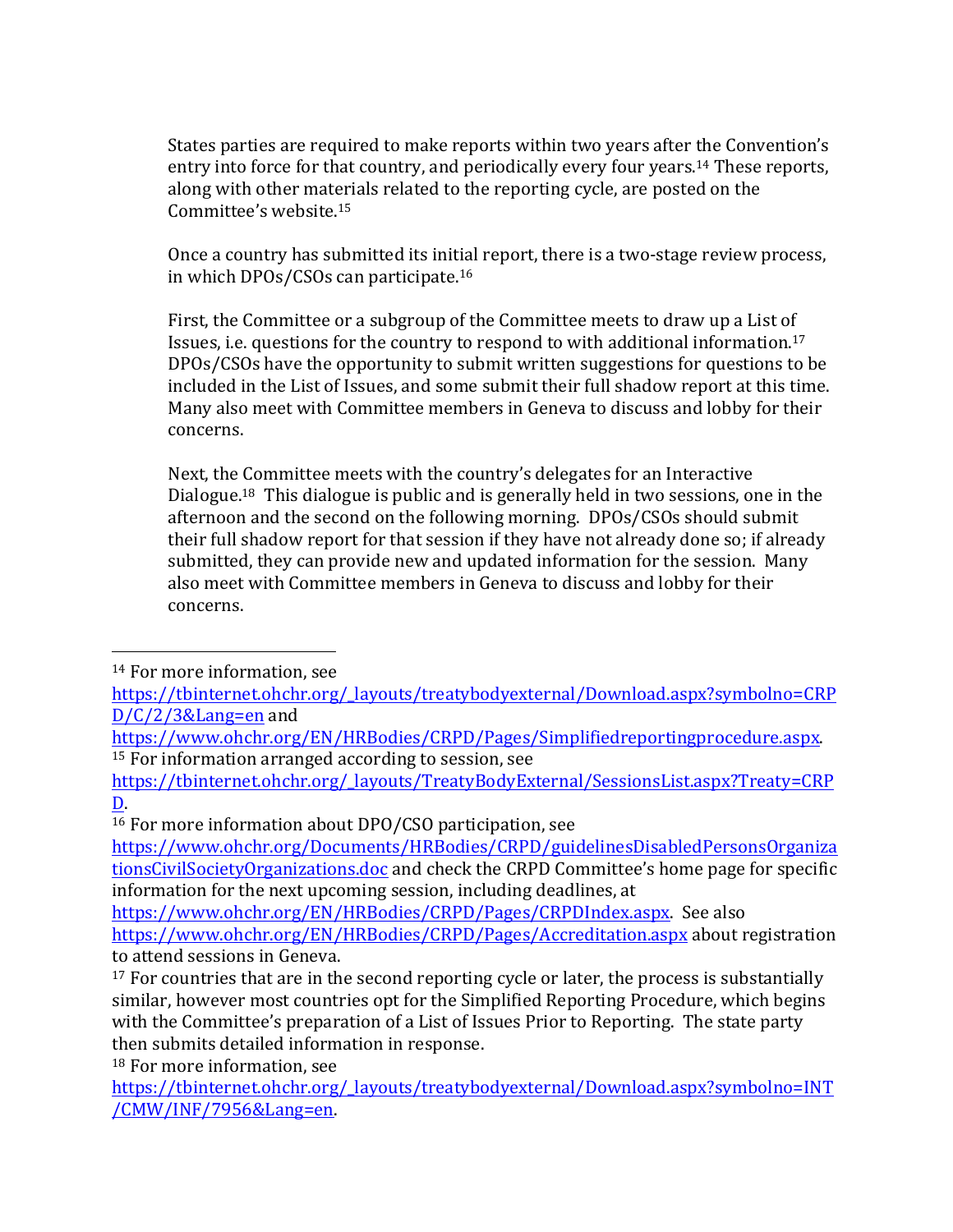States parties are required to make reports within two years after the Convention's entry into force for that country, and periodically every four years.<sup>14</sup> These reports, along with other materials related to the reporting cycle, are posted on the Committee's website.<sup>15</sup>

Once a country has submitted its initial report, there is a two-stage review process, in which DPOs/CSOs can participate.<sup>16</sup>

First, the Committee or a subgroup of the Committee meets to draw up a List of Issues, i.e. questions for the country to respond to with additional information.<sup>17</sup> DPOs/CSOs have the opportunity to submit written suggestions for questions to be included in the List of Issues, and some submit their full shadow report at this time. Many also meet with Committee members in Geneva to discuss and lobby for their concerns. 

Next, the Committee meets with the country's delegates for an Interactive Dialogue.<sup>18</sup> This dialogue is public and is generally held in two sessions, one in the afternoon and the second on the following morning. DPOs/CSOs should submit their full shadow report for that session if they have not already done so; if already submitted, they can provide new and updated information for the session. Many also meet with Committee members in Geneva to discuss and lobby for their concerns. 

<sup>18</sup> For more information, see

  $14$  For more information, see

https://tbinternet.ohchr.org/\_layouts/treatybodyexternal/Download.aspx?symbolno=CRP D/C/2/3&Lang=en and 

https://www.ohchr.org/EN/HRBodies/CRPD/Pages/Simplifiedreportingprocedure.aspx.  $15$  For information arranged according to session, see

https://tbinternet.ohchr.org/\_layouts/TreatyBodyExternal/SessionsList.aspx?Treaty=CRP D. 

 $16$  For more information about DPO/CSO participation, see

https://www.ohchr.org/Documents/HRBodies/CRPD/guidelinesDisabledPersonsOrganiza tionsCivilSocietyOrganizations.doc and check the CRPD Committee's home page for specific information for the next upcoming session, including deadlines, at

https://www.ohchr.org/EN/HRBodies/CRPD/Pages/CRPDIndex.aspx. See also https://www.ohchr.org/EN/HRBodies/CRPD/Pages/Accreditation.aspx about registration to attend sessions in Geneva.

 $17$  For countries that are in the second reporting cycle or later, the process is substantially similar, however most countries opt for the Simplified Reporting Procedure, which begins with the Committee's preparation of a List of Issues Prior to Reporting. The state party then submits detailed information in response.

https://tbinternet.ohchr.org/\_layouts/treatybodyexternal/Download.aspx?symbolno=INT /CMW/INF/7956&Lang=en.